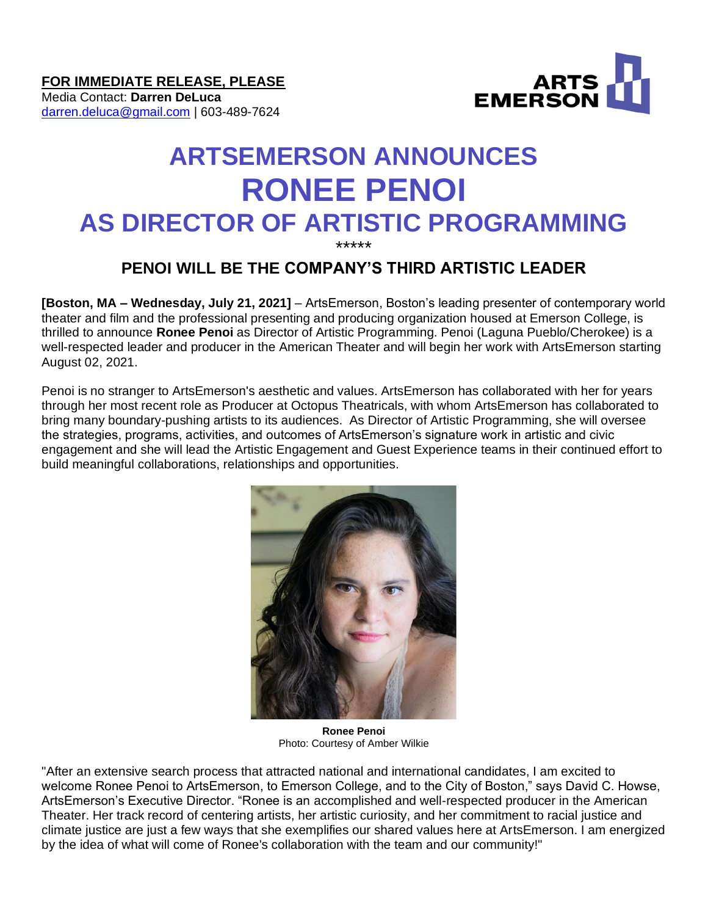

# **ARTSEMERSON ANNOUNCES RONEE PENOI AS DIRECTOR OF ARTISTIC PROGRAMMING**

\*\*\*\*\*

# **PENOI WILL BE THE COMPANY'S THIRD ARTISTIC LEADER**

**[Boston, MA – Wednesday, July 21, 2021]** – ArtsEmerson, Boston's leading presenter of contemporary world theater and film and the professional presenting and producing organization housed at Emerson College, is thrilled to announce **Ronee Penoi** as Director of Artistic Programming. Penoi (Laguna Pueblo/Cherokee) is a well-respected leader and producer in the American Theater and will begin her work with ArtsEmerson starting August 02, 2021.

Penoi is no stranger to ArtsEmerson's aesthetic and values. ArtsEmerson has collaborated with her for years through her most recent role as Producer at Octopus Theatricals, with whom ArtsEmerson has collaborated to bring many boundary-pushing artists to its audiences. As Director of Artistic Programming, she will oversee the strategies, programs, activities, and outcomes of ArtsEmerson's signature work in artistic and civic engagement and she will lead the Artistic Engagement and Guest Experience teams in their continued effort to build meaningful collaborations, relationships and opportunities.



**Ronee Penoi** Photo: Courtesy of Amber Wilkie

"After an extensive search process that attracted national and international candidates, I am excited to welcome Ronee Penoi to ArtsEmerson, to Emerson College, and to the City of Boston," says David C. Howse, ArtsEmerson's Executive Director. "Ronee is an accomplished and well-respected producer in the American Theater. Her track record of centering artists, her artistic curiosity, and her commitment to racial justice and climate justice are just a few ways that she exemplifies our shared values here at ArtsEmerson. I am energized by the idea of what will come of Ronee's collaboration with the team and our community!"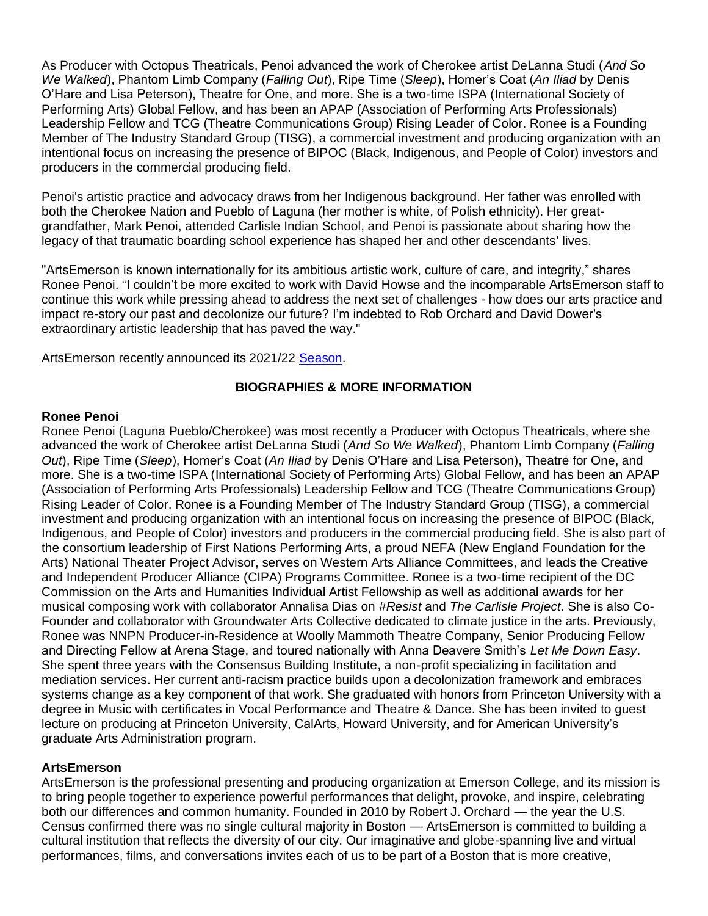As Producer with Octopus Theatricals, Penoi advanced the work of Cherokee artist DeLanna Studi (*And So We Walked*), Phantom Limb Company (*Falling Out*), Ripe Time (*Sleep*), Homer's Coat (*An Iliad* by Denis O'Hare and Lisa Peterson), Theatre for One, and more. She is a two-time ISPA (International Society of Performing Arts) Global Fellow, and has been an APAP (Association of Performing Arts Professionals) Leadership Fellow and TCG (Theatre Communications Group) Rising Leader of Color. Ronee is a Founding Member of The Industry Standard Group (TISG), a commercial investment and producing organization with an intentional focus on increasing the presence of BIPOC (Black, Indigenous, and People of Color) investors and producers in the commercial producing field.

Penoi's artistic practice and advocacy draws from her Indigenous background. Her father was enrolled with both the Cherokee Nation and Pueblo of Laguna (her mother is white, of Polish ethnicity). Her greatgrandfather, Mark Penoi, attended Carlisle Indian School, and Penoi is passionate about sharing how the legacy of that traumatic boarding school experience has shaped her and other descendants' lives.

"ArtsEmerson is known internationally for its ambitious artistic work, culture of care, and integrity," shares Ronee Penoi. "I couldn't be more excited to work with David Howse and the incomparable ArtsEmerson staff to continue this work while pressing ahead to address the next set of challenges - how does our arts practice and impact re-story our past and decolonize our future? I'm indebted to Rob Orchard and David Dower's extraordinary artistic leadership that has paved the way."

ArtsEmerson recently announced its 2021/22 [Season.](https://artsemerson.org/content/Files/SeasonAnnouncement_AE_062921.pdf)

## **BIOGRAPHIES & MORE INFORMATION**

#### **Ronee Penoi**

Ronee Penoi (Laguna Pueblo/Cherokee) was most recently a Producer with Octopus Theatricals, where she advanced the work of Cherokee artist DeLanna Studi (*And So We Walked*), Phantom Limb Company (*Falling Out*), Ripe Time (*Sleep*), Homer's Coat (*An Iliad* by Denis O'Hare and Lisa Peterson), Theatre for One, and more. She is a two-time ISPA (International Society of Performing Arts) Global Fellow, and has been an APAP (Association of Performing Arts Professionals) Leadership Fellow and TCG (Theatre Communications Group) Rising Leader of Color. Ronee is a Founding Member of The Industry Standard Group (TISG), a commercial investment and producing organization with an intentional focus on increasing the presence of BIPOC (Black, Indigenous, and People of Color) investors and producers in the commercial producing field. She is also part of the consortium leadership of First Nations Performing Arts, a proud NEFA (New England Foundation for the Arts) National Theater Project Advisor, serves on Western Arts Alliance Committees, and leads the Creative and Independent Producer Alliance (CIPA) Programs Committee. Ronee is a two-time recipient of the DC Commission on the Arts and Humanities Individual Artist Fellowship as well as additional awards for her musical composing work with collaborator Annalisa Dias on *#Resist* and *The Carlisle Project*. She is also Co-Founder and collaborator with Groundwater Arts Collective dedicated to climate justice in the arts. Previously, Ronee was NNPN Producer-in-Residence at Woolly Mammoth Theatre Company, Senior Producing Fellow and Directing Fellow at Arena Stage, and toured nationally with Anna Deavere Smith's *Let Me Down Easy*. She spent three years with the Consensus Building Institute, a non-profit specializing in facilitation and mediation services. Her current anti-racism practice builds upon a decolonization framework and embraces systems change as a key component of that work. She graduated with honors from Princeton University with a degree in Music with certificates in Vocal Performance and Theatre & Dance. She has been invited to guest lecture on producing at Princeton University, CalArts, Howard University, and for American University's graduate Arts Administration program.

#### **ArtsEmerson**

ArtsEmerson is the professional presenting and producing organization at Emerson College, and its mission is to bring people together to experience powerful performances that delight, provoke, and inspire, celebrating both our differences and common humanity. Founded in 2010 by Robert J. Orchard — the year the U.S. Census confirmed there was no single cultural majority in Boston — ArtsEmerson is committed to building a cultural institution that reflects the diversity of our city. Our imaginative and globe-spanning live and virtual performances, films, and conversations invites each of us to be part of a Boston that is more creative,